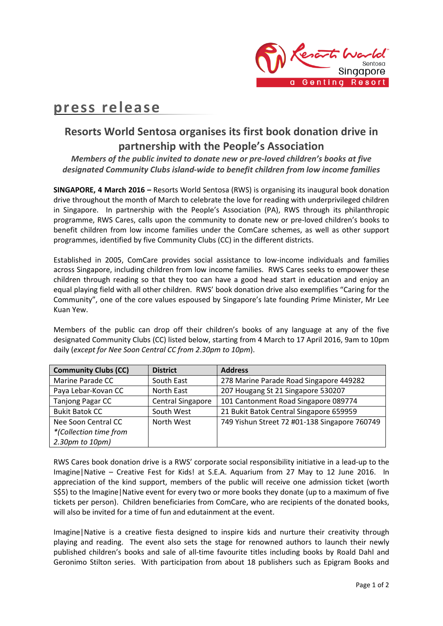

## **press release**

## **Resorts World Sentosa organises its first book donation drive in partnership with the People's Association**

*Members of the public invited to donate new or pre-loved children's books at five designated Community Clubs island-wide to benefit children from low income families*

**SINGAPORE, 4 March 2016 –** Resorts World Sentosa (RWS) is organising its inaugural book donation drive throughout the month of March to celebrate the love for reading with underprivileged children in Singapore. In partnership with the People's Association (PA), RWS through its philanthropic programme, RWS Cares, calls upon the community to donate new or pre-loved children's books to benefit children from low income families under the ComCare schemes, as well as other support programmes, identified by five Community Clubs (CC) in the different districts.

Established in 2005, ComCare provides social assistance to low-income individuals and families across Singapore, including children from low income families. RWS Cares seeks to empower these children through reading so that they too can have a good head start in education and enjoy an equal playing field with all other children. RWS' book donation drive also exemplifies "Caring for the Community", one of the core values espoused by Singapore's late founding Prime Minister, Mr Lee Kuan Yew.

Members of the public can drop off their children's books of any language at any of the five designated Community Clubs (CC) listed below, starting from 4 March to 17 April 2016, 9am to 10pm daily (*except for Nee Soon Central CC from 2.30pm to 10pm*).

| <b>Community Clubs (CC)</b> | <b>District</b>          | <b>Address</b>                                |
|-----------------------------|--------------------------|-----------------------------------------------|
| Marine Parade CC            | South East               | 278 Marine Parade Road Singapore 449282       |
| Paya Lebar-Kovan CC         | North East               | 207 Hougang St 21 Singapore 530207            |
| <b>Tanjong Pagar CC</b>     | <b>Central Singapore</b> | 101 Cantonment Road Singapore 089774          |
| <b>Bukit Batok CC</b>       | South West               | 21 Bukit Batok Central Singapore 659959       |
| Nee Soon Central CC         | North West               | 749 Yishun Street 72 #01-138 Singapore 760749 |
| *(Collection time from      |                          |                                               |
| 2.30pm to 10pm)             |                          |                                               |

RWS Cares book donation drive is a RWS' corporate social responsibility initiative in a lead-up to the Imagine|Native – Creative Fest for Kids! at S.E.A. Aquarium from 27 May to 12 June 2016. In appreciation of the kind support, members of the public will receive one admission ticket (worth S\$5) to the Imagine|Native event for every two or more books they donate (up to a maximum of five tickets per person). Children beneficiaries from ComCare, who are recipients of the donated books, will also be invited for a time of fun and edutainment at the event.

Imagine|Native is a creative fiesta designed to inspire kids and nurture their creativity through playing and reading. The event also sets the stage for renowned authors to launch their newly published children's books and sale of all-time favourite titles including books by Roald Dahl and Geronimo Stilton series. With participation from about 18 publishers such as Epigram Books and